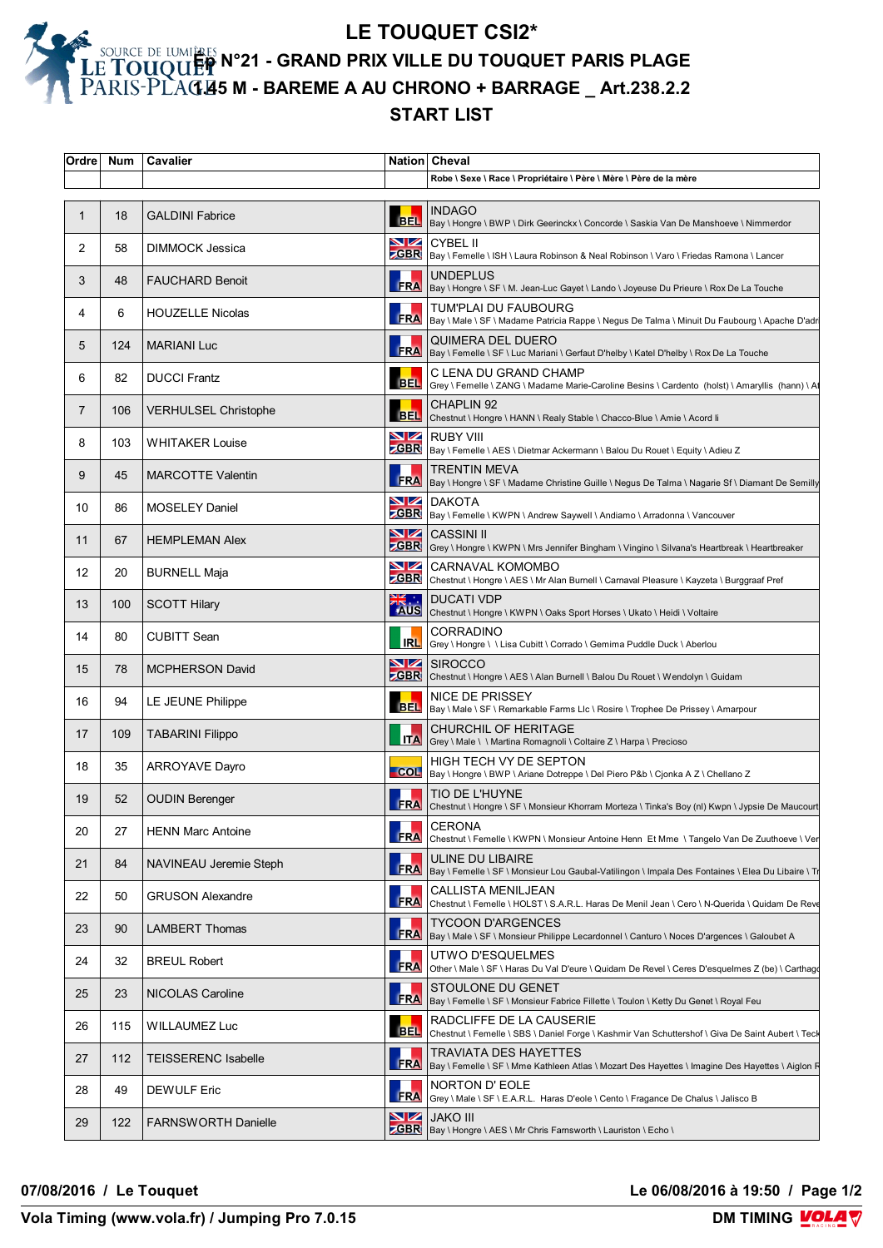## **LE TOUQUET CSI2\* Ép N°21 - GRAND PRIX VILLE DU TOUQUET PARIS PLAGE 1.45 M - BAREME A AU CHRONO + BARRAGE \_ Art.238.2.2 START LIST**

| Ordre | <b>Num</b> | Cavalier                    |                                     | Nation Cheval                                                                                                                 |
|-------|------------|-----------------------------|-------------------------------------|-------------------------------------------------------------------------------------------------------------------------------|
|       |            |                             |                                     | Robe \ Sexe \ Race \ Propriétaire \ Père \ Mère \ Père de la mère                                                             |
| 1     | 18         | <b>GALDINI Fabrice</b>      | <b>BEL</b>                          | <b>INDAGO</b><br>Bay \ Hongre \ BWP \ Dirk Geerinckx \ Concorde \ Saskia Van De Manshoeve \ Nimmerdor                         |
| 2     | 58         | DIMMOCK Jessica             | VZ                                  | <b>CYBEL II</b><br>ZGBR   Bay \ Femelle \ ISH \ Laura Robinson & Neal Robinson \ Varo \ Friedas Ramona \ Lancer               |
| 3     | 48         | <b>FAUCHARD Benoit</b>      |                                     | <b>UNDEPLUS</b><br>FRA   Bay \ Hongre \ SF \ M. Jean-Luc Gayet \ Lando \ Joyeuse Du Prieure \ Rox De La Touche                |
| 4     | 6          | <b>HOUZELLE Nicolas</b>     | <b>FRA</b>                          | TUM'PLAI DU FAUBOURG<br>Bay \ Male \ SF \ Madame Patricia Rappe \ Negus De Talma \ Minuit Du Faubourg \ Apache D'adr          |
| 5     | 124        | <b>MARIANI Luc</b>          |                                     | QUIMERA DEL DUERO<br>FRA   Bay \ Femelle \ SF \ Luc Mariani \ Gerfaut D'helby \ Katel D'helby \ Rox De La Touche              |
| 6     | 82         | <b>DUCCI Frantz</b>         | <b>BEL</b>                          | C LENA DU GRAND CHAMP<br>Grey \ Femelle \ ZANG \ Madame Marie-Caroline Besins \ Cardento (holst) \ Amaryllis (hann) \ At      |
| 7     | 106        | <b>VERHULSEL Christophe</b> |                                     | <b>CHAPLIN 92</b><br>BEL Chestnut \ Hongre \ HANN \ Realy Stable \ Chacco-Blue \ Amie \ Acord li                              |
| 8     | 103        | <b>WHITAKER Louise</b>      |                                     | <b>NZ</b> RUBY VIII<br>ZGBR   Bay \ Femelle \ AES \ Dietmar Ackermann \ Balou Du Rouet \ Equity \ Adieu Z                     |
| 9     | 45         | <b>MARCOTTE Valentin</b>    |                                     | TRENTIN MEVA<br>FRA   Bay \ Hongre \ SF \ Madame Christine Guille \ Negus De Talma \ Nagarie Sf \ Diamant De Semilly          |
| 10    | 86         | <b>MOSELEY Daniel</b>       |                                     | <b>NZ</b> DAKOTA<br>SBR Bay \ Femelle \ KWPN \ Andrew Saywell \ Andiamo \ Arradonna \ Vancouver                               |
| 11    | 67         | <b>HEMPLEMAN Alex</b>       | $\blacksquare$                      | <b>CASSINI II</b><br><b>ZGBR</b> Grey \ Hongre \ KWPN \ Mrs Jennifer Bingham \ Vingino \ Silvana's Heartbreak \ Heartbreaker  |
| 12    | 20         | <b>BURNELL Maja</b>         | $\blacksquare$<br><b>ZGBR</b>       | <b>CARNAVAL KOMOMBO</b><br>Chestnut \ Hongre \ AES \ Mr Alan Burnell \ Carnaval Pleasure \ Kayzeta \ Burggraaf Pref           |
| 13    | 100        | <b>SCOTT Hilary</b>         | . . <del>刘</del>                    | <b>DUCATI VDP</b><br>AUS Chestnut \ Hongre \ KWPN \ Oaks Sport Horses \ Ukato \ Heidi \ Voltaire                              |
| 14    | 80         | <b>CUBITT Sean</b>          | <b>IRL</b>                          | CORRADINO<br>Grey \ Hongre \ \ Lisa Cubitt \ Corrado \ Gemima Puddle Duck \ Aberlou                                           |
| 15    | 78         | <b>MCPHERSON David</b>      |                                     | <b>NZ</b> SIROCCO<br><b>ZGBR</b> Chestnut \ Hongre \ AES \ Alan Burnell \ Balou Du Rouet \ Wendolyn \ Guidam                  |
| 16    | 94         | LE JEUNE Philippe           |                                     | <b>NICE DE PRISSEY</b><br>BEL  Bay \ Male \ SF \ Remarkable Farms Llc \ Rosire \ Trophee De Prissey \ Amarpour                |
| 17    | 109        | <b>TABARINI Filippo</b>     | <b>ITA</b>                          | CHURCHIL OF HERITAGE<br>Grey \ Male \ \ Martina Romagnoli \ Coltaire Z \ Harpa \ Precioso                                     |
| 18    | 35         | <b>ARROYAVE Dayro</b>       |                                     | HIGH TECH VY DE SEPTON<br>COL   Bay \ Hongre \ BWP \ Ariane Dotreppe \ Del Piero P&b \ Cjonka A Z \ Chellano Z                |
| 19    | 52         | <b>OUDIN Berenger</b>       |                                     | TIO DE L'HUYNE<br>FRA Chestnut \ Hongre \ SF \ Monsieur Khorram Morteza \ Tinka's Boy (nl) Kwpn \ Jypsie De Maucourt          |
| 20    | 27         | <b>HENN Marc Antoine</b>    | <b>FRA</b>                          | <b>CERONA</b><br>Chestnut \ Femelle \ KWPN \ Monsieur Antoine Henn Et Mme \ Tangelo Van De Zuuthoeve \ Ver                    |
| 21    | 84         | NAVINEAU Jeremie Steph      | <b>FRA</b>                          | ULINE DU LIBAIRE<br>Bay \ Femelle \ SF \ Monsieur Lou Gaubal-Vatilingon \ Impala Des Fontaines \ Elea Du Libaire \ Tr         |
| 22    | 50         | <b>GRUSON Alexandre</b>     | FRA                                 | CALLISTA MENILJEAN<br>Chestnut \ Femelle \ HOLST \ S.A.R.L. Haras De Menil Jean \ Cero \ N-Querida \ Quidam De Reve           |
| 23    | 90         | <b>LAMBERT Thomas</b>       | <b>FRA</b>                          | TYCOON D'ARGENCES<br>Bay \ Male \ SF \ Monsieur Philippe Lecardonnel \ Canturo \ Noces D'argences \ Galoubet A                |
| 24    | 32         | <b>BREUL Robert</b>         | <b>FRA</b>                          | UTWO D'ESQUELMES<br>Other \ Male \ SF \ Haras Du Val D'eure \ Quidam De Revel \ Ceres D'esquelmes Z (be) \ Carthago           |
| 25    | 23         | NICOLAS Caroline            | <b>FRA</b>                          | STOULONE DU GENET<br>Bay \ Femelle \ SF \ Monsieur Fabrice Fillette \ Toulon \ Ketty Du Genet \ Royal Feu                     |
| 26    | 115        | WILLAUMEZ Luc               | <b>BEL</b>                          | RADCLIFFE DE LA CAUSERIE<br>Chestnut \ Femelle \ SBS \ Daniel Forge \ Kashmir Van Schuttershof \ Giva De Saint Aubert \ Teck  |
| 27    | 112        | <b>TEISSERENC Isabelle</b>  | <b>FRA</b>                          | TRAVIATA DES HAYETTES<br>Bay \ Femelle \ SF \ Mme Kathleen Atlas \ Mozart Des Hayettes \ Imagine Des Hayettes \ Aiglon Figure |
| 28    | 49         | <b>DEWULF Eric</b>          | FRA                                 | NORTON D' EOLE<br>Grey \ Male \ SF \ E.A.R.L. Haras D'eole \ Cento \ Fragance De Chalus \ Jalisco B                           |
| 29    | 122        | <b>FARNSWORTH Danielle</b>  | $\blacktriangleright$<br><b>GBR</b> | <b>JAKO III</b><br>Bay \ Hongre \ AES \ Mr Chris Farnsworth \ Lauriston \ Echo \                                              |

**07/08/2016 / Le Touquet Le 06/08/2016 à 19:50 / Page 1/2**